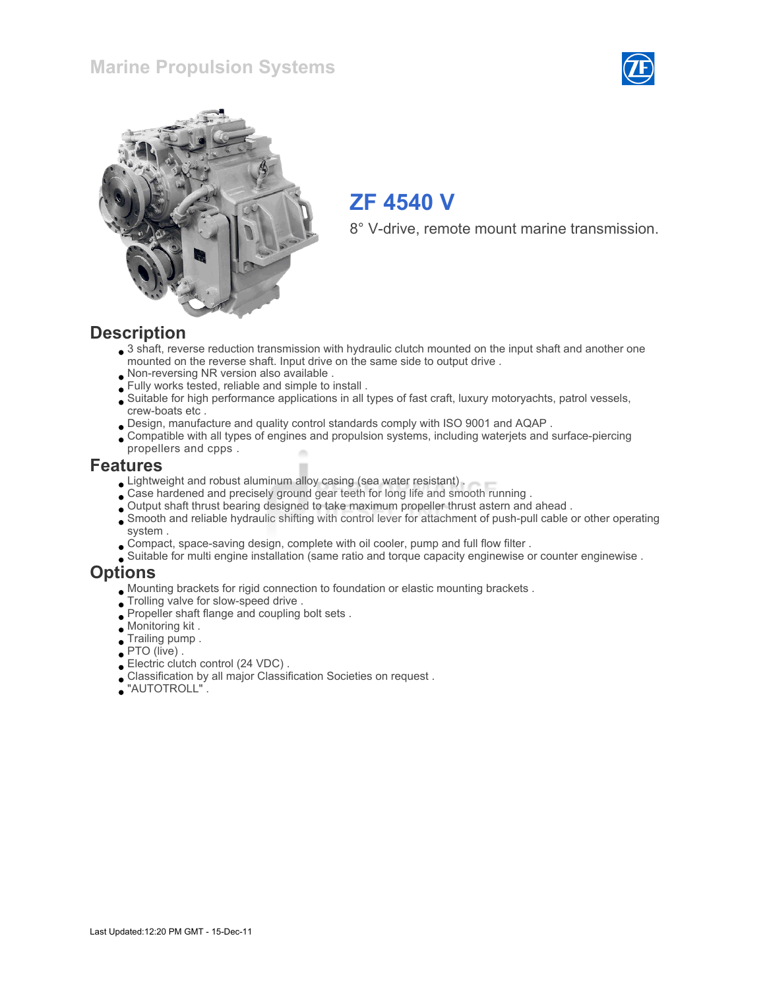## Marine Propulsion Systems





# ZF 4540 V

8° V-drive, remote mount marine transmission.

#### **Description**

- 3 shaft, reverse reduction transmission with hydraulic clutch mounted on the input shaft and another one mounted on the reverse shaft. Input drive on the same side to output drive .
- Non-reversing NR version also available .
- Fully works tested, reliable and simple to install .
- Suitable for high performance applications in all types of fast craft, luxury motoryachts, patrol vessels, crew-boats etc .
- Design, manufacture and quality control standards comply with ISO 9001 and AQAP .
- Compatible with all types of engines and propulsion systems, including waterjets and surface-piercing propellers and cpps .

#### Features

- Lightweight and robust aluminum alloy casing (sea water resistant).
- Case hardened and precisely ground gear teeth for long life and smooth running .
- Output shaft thrust bearing designed to take maximum propeller thrust astern and ahead .
- Smooth and reliable hydraulic shifting with control lever for attachment of push-pull cable or other operating system .
- Compact, space-saving design, complete with oil cooler, pump and full flow filter .
- Suitable for multi engine installation (same ratio and torque capacity enginewise or counter enginewise .

#### **Options**

- Mounting brackets for rigid connection to foundation or elastic mounting brackets .
- Trolling valve for slow-speed drive .
- Propeller shaft flange and coupling bolt sets .
- Monitoring kit .
- Trailing pump .
- PTO (live) .
- Electric clutch control (24 VDC) .
- Classification by all major Classification Societies on request .
- "AUTOTROLL" .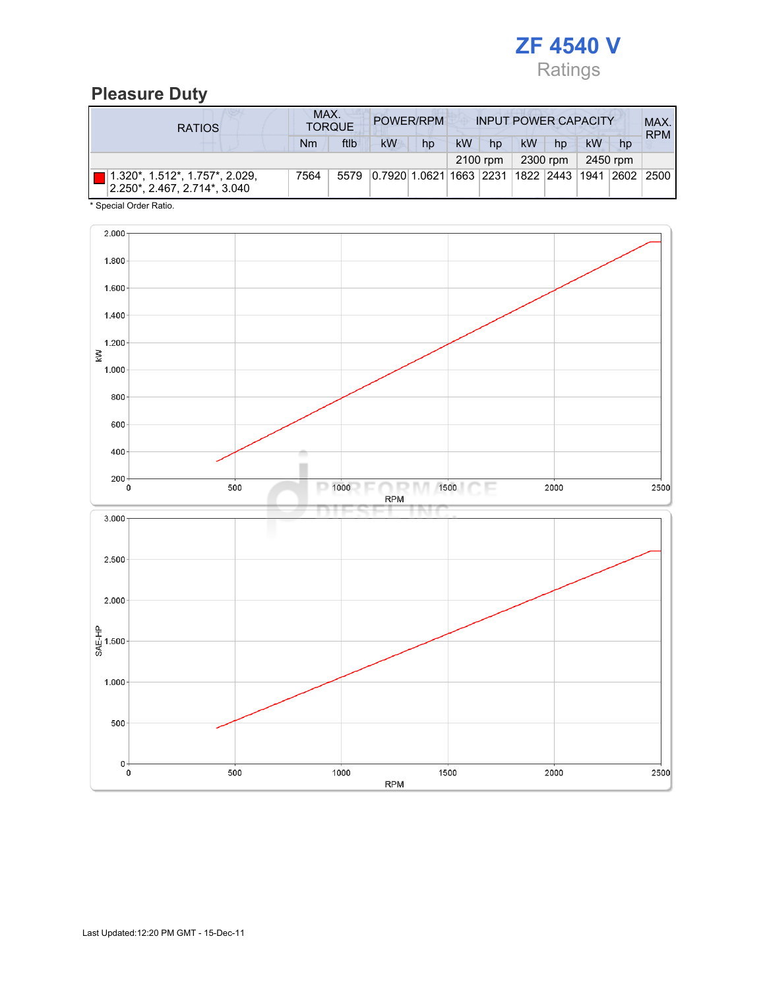

## Pleasure Duty

| <b>RATIOS</b>                                                  | MAX. | <b>TORQUE</b> |                                                         | POWER/RPM |    |          | <b>INPUT POWER CAPACITY</b> |          |           |          | MAX.<br><b>RPM</b> |
|----------------------------------------------------------------|------|---------------|---------------------------------------------------------|-----------|----|----------|-----------------------------|----------|-----------|----------|--------------------|
|                                                                | Nm   | ftlb          | <b>kW</b>                                               | hp        | kW | hp       | kW                          | hp       | <b>kW</b> | hp       |                    |
|                                                                |      |               |                                                         |           |    | 2100 rpm |                             | 2300 rpm |           | 2450 rpm |                    |
| 1.320*, 1.512*, 1.757*, 2.029,<br>2.250*, 2.467, 2.714*, 3.040 | 7564 | 5579          | 0.7920 1.0621 1663  2231  1822  2443  1941  2602   2500 |           |    |          |                             |          |           |          |                    |

\* Special Order Ratio.

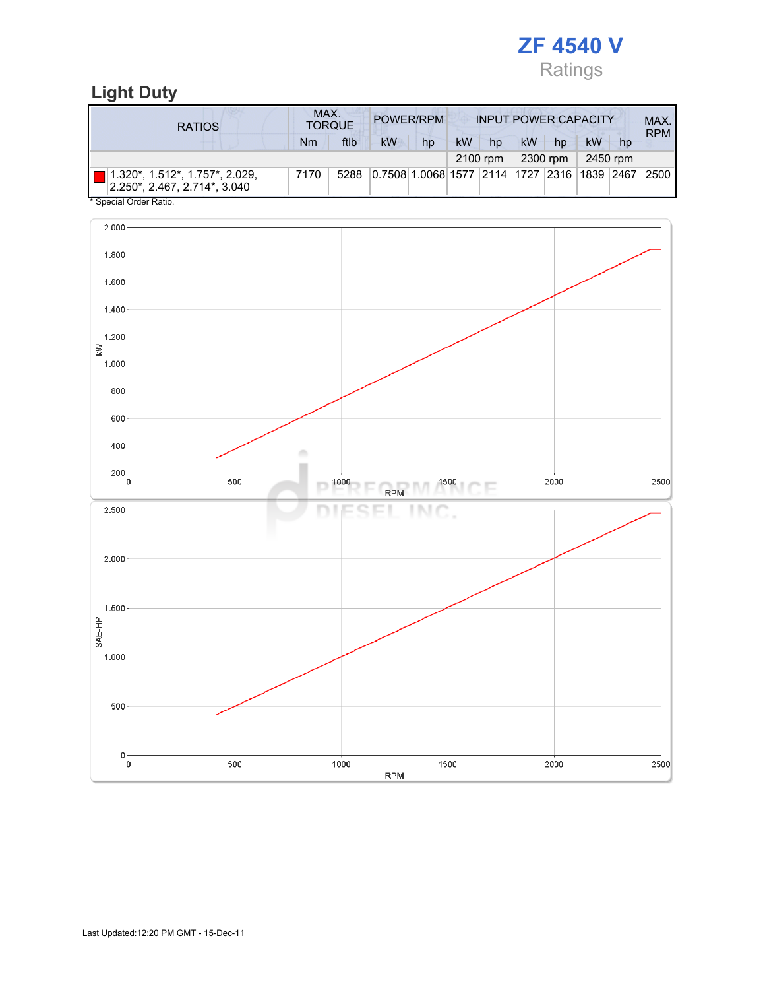

## Light Duty

| <b>RATIOS</b>                                                                          | MAX.<br>POWER/RPM<br><b>INPUT POWER CAPACITY</b><br><b>TORQUE</b> |      |                                                  |    |           |          |           |          |    | MAX.<br><b>RPM</b> |      |
|----------------------------------------------------------------------------------------|-------------------------------------------------------------------|------|--------------------------------------------------|----|-----------|----------|-----------|----------|----|--------------------|------|
|                                                                                        | Nm                                                                | ftlb | kW                                               | hp | <b>kW</b> | hp       | <b>kW</b> | hp       | kW | hp                 |      |
|                                                                                        |                                                                   |      |                                                  |    |           | 2100 rpm |           | 2300 rpm |    | 2450 rpm           |      |
| $ 1.320^{\star}, 1.512^{\star}, 1.757^{\star}, 2.029,$<br>2.250*, 2.467, 2.714*, 3.040 | 7170                                                              | 5288 | 0.7508 1.0068 1577  2114  1727  2316  1839  2467 |    |           |          |           |          |    |                    | 2500 |
| * Special Order Ratio.                                                                 |                                                                   |      |                                                  |    |           |          |           |          |    |                    |      |

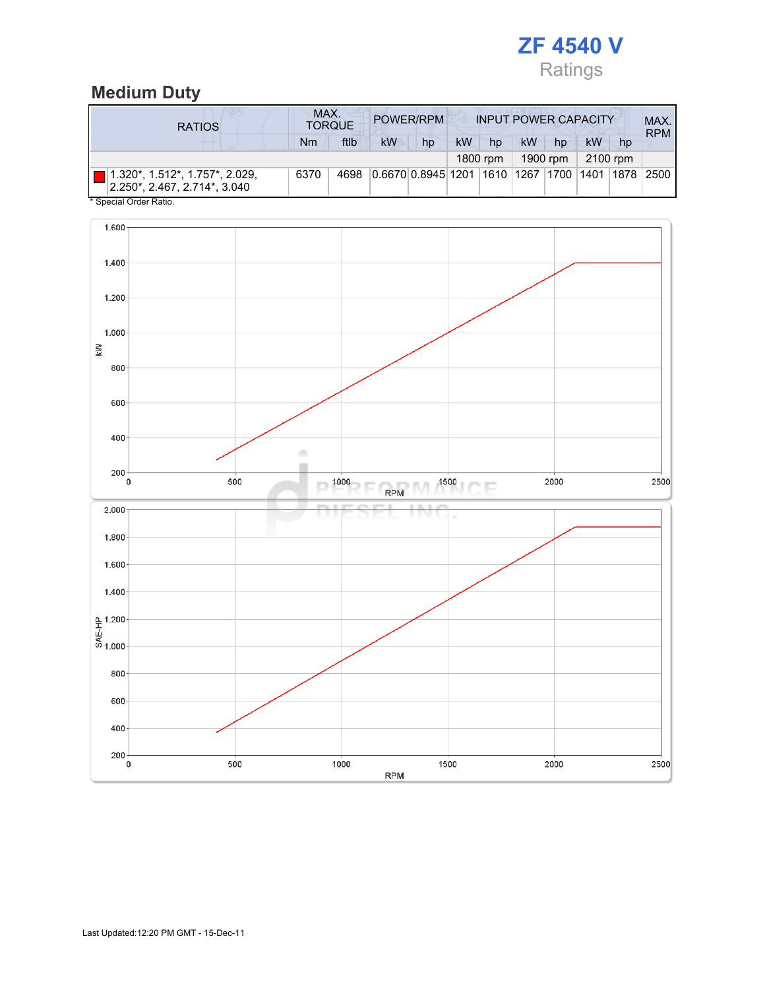

# Medium Duty

| <b>RATIOS</b>                                                                 | MAX.<br><b>POWER/RPM</b><br><b>INPUT POWER CAPACITY</b><br><b>TORQUE</b> |      |          |                                                         |           |    |    |    |    |    | MAX.<br><b>RPM</b> |
|-------------------------------------------------------------------------------|--------------------------------------------------------------------------|------|----------|---------------------------------------------------------|-----------|----|----|----|----|----|--------------------|
|                                                                               | Nm                                                                       | ftlb | kW       | hp                                                      | <b>kW</b> | hp | kW | hp | kW | hp |                    |
|                                                                               | 1800 rpm                                                                 |      | 1900 rpm |                                                         | 2100 rpm  |    |    |    |    |    |                    |
| $\blacksquare$ 1.320*, 1.512*, 1.757*, 2.029,<br>2.250*. 2.467. 2.714*. 3.040 | 6370                                                                     | 4698 |          | 0.6670 0.8945 1201  1610  1267  1700  1401  1878   2500 |           |    |    |    |    |    |                    |
| * Special Order Ratio.                                                        |                                                                          |      |          |                                                         |           |    |    |    |    |    |                    |

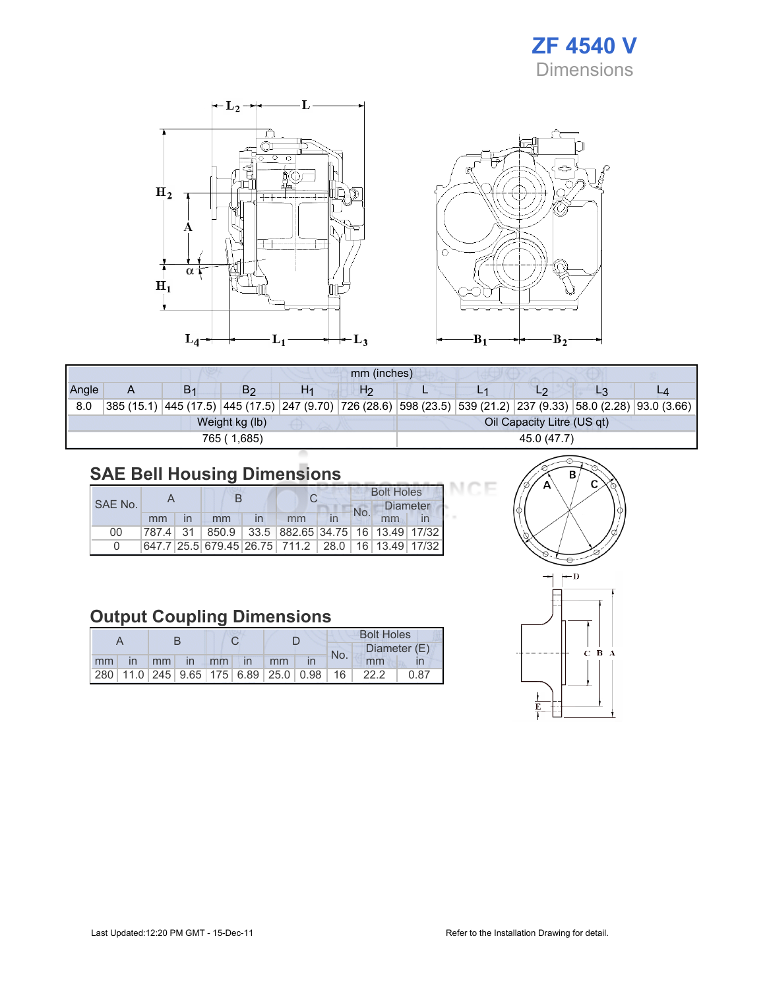



|             | mm (inches) |                |                |    |                |  |             |                            |  |                                                                                                                 |  |  |
|-------------|-------------|----------------|----------------|----|----------------|--|-------------|----------------------------|--|-----------------------------------------------------------------------------------------------------------------|--|--|
| Angle       |             | B <sub>1</sub> | B۶             | H1 | H <sub>2</sub> |  |             | L2                         |  |                                                                                                                 |  |  |
| 8.0         |             |                |                |    |                |  |             |                            |  | 385 (15.1) 445 (17.5) 445 (17.5) 247 (9.70) 726 (28.6) 598 (23.5) 539 (21.2) 237 (9.33) 58.0 (2.28) 93.0 (3.66) |  |  |
|             |             |                | Weight kg (lb) |    |                |  |             | Oil Capacity Litre (US qt) |  |                                                                                                                 |  |  |
| 765 (1,685) |             |                |                |    |                |  | 45.0 (47.7) |                            |  |                                                                                                                 |  |  |

# SAE Bell Housing Dimensions

|         |    |  |    | <b>Bolt Holes</b>                                 |     |                 |  |  |
|---------|----|--|----|---------------------------------------------------|-----|-----------------|--|--|
| SAE No. |    |  |    |                                                   | No. | <b>Diameter</b> |  |  |
|         | mm |  | mm | mm                                                |     | mm              |  |  |
| 00      |    |  |    | 787.4 31 850.9 33.5 882.65 34.75 16 13.49 17/32   |     |                 |  |  |
| O       |    |  |    | 647.7 25.5 679.45 26.75 711.2 28.0 16 13.49 17/32 |     |                 |  |  |

## Output Coupling Dimensions

|    |              |         |          |  |               |    |                                                         | <b>Bolt Holes</b> |      |              |  |
|----|--------------|---------|----------|--|---------------|----|---------------------------------------------------------|-------------------|------|--------------|--|
|    |              |         |          |  |               |    |                                                         | No.               |      | Diameter (E) |  |
| mm | $\mathsf{I}$ | $-1$ mm | $\ln$ mm |  | $\mathsf{In}$ | mm |                                                         |                   | mm   |              |  |
|    |              |         |          |  |               |    | 280   11.0   245   9.65   175   6.89   25.0   0.98   16 |                   | 22.2 | 0.87         |  |



DЕ